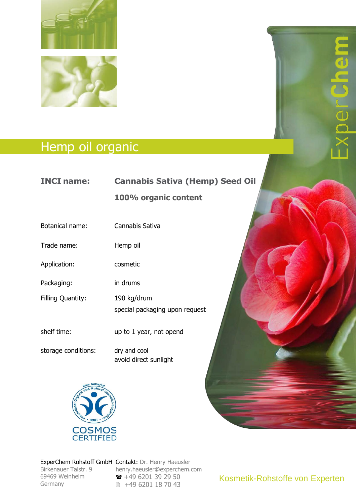

## Hemp oil organic

## **INCI name: Cannabis Sativa (Hemp) Seed Oil**

**100% organic content**

Botanical name: Cannabis Sativa

Trade name: Hemp oil

Application: cosmetic

Packaging: in drums

Filling Quantity: 190 kg/drum

special packaging upon request

shelf time: up to 1 year, not opend

storage conditions: dry and cool

avoid direct sunlight



Birkenauer Talstr. 9 69469 Weinheim Germany Communication of the Communication of the Communication of the Communication of the Communication of the Communication of the Communication of the Communication of the Communication of the Communication of the Comm Germany

ExperChem Rohstoff GmbH Contakt: Dr. Henry Haeusler  $h = \frac{1}{2}$ [henry.haeusler@experchem.com](mailto:henry.haeusler@experchem.com) +49 6201 39 29 50 ■ +49 6201 18 70 43

Kosmetik-Rohstoffe von Experten

 $\blacksquare$ 

 $\blacksquare$ 

IUN

d)